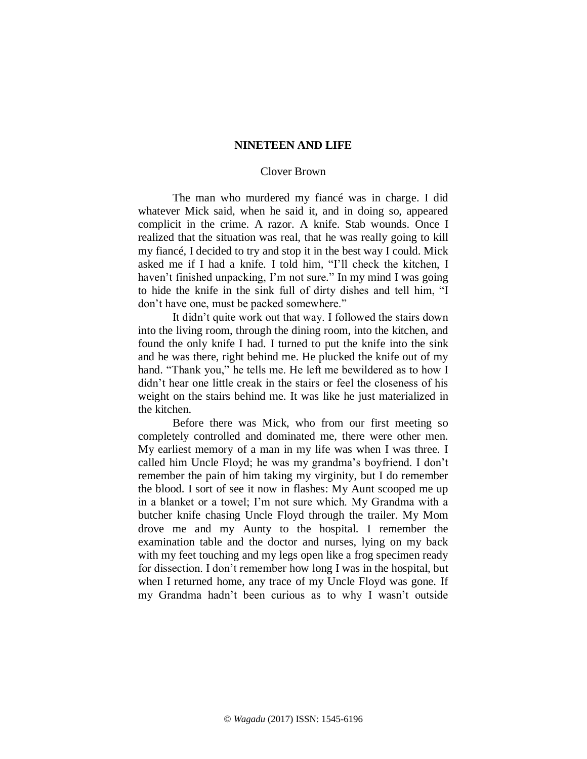## **NINETEEN AND LIFE**

## Clover Brown

The man who murdered my fiancé was in charge. I did whatever Mick said, when he said it, and in doing so, appeared complicit in the crime. A razor. A knife. Stab wounds. Once I realized that the situation was real, that he was really going to kill my fiancé, I decided to try and stop it in the best way I could. Mick asked me if I had a knife. I told him*,* "I'll check the kitchen, I haven't finished unpacking, I'm not sure*.*" In my mind I was going to hide the knife in the sink full of dirty dishes and tell him, "I don't have one, must be packed somewhere."

It didn't quite work out that way. I followed the stairs down into the living room, through the dining room, into the kitchen, and found the only knife I had. I turned to put the knife into the sink and he was there, right behind me. He plucked the knife out of my hand. "Thank you," he tells me. He left me bewildered as to how I didn't hear one little creak in the stairs or feel the closeness of his weight on the stairs behind me. It was like he just materialized in the kitchen.

Before there was Mick, who from our first meeting so completely controlled and dominated me, there were other men. My earliest memory of a man in my life was when I was three. I called him Uncle Floyd; he was my grandma's boyfriend. I don't remember the pain of him taking my virginity, but I do remember the blood. I sort of see it now in flashes: My Aunt scooped me up in a blanket or a towel; I'm not sure which. My Grandma with a butcher knife chasing Uncle Floyd through the trailer. My Mom drove me and my Aunty to the hospital. I remember the examination table and the doctor and nurses, lying on my back with my feet touching and my legs open like a frog specimen ready for dissection. I don't remember how long I was in the hospital, but when I returned home, any trace of my Uncle Floyd was gone. If my Grandma hadn't been curious as to why I wasn't outside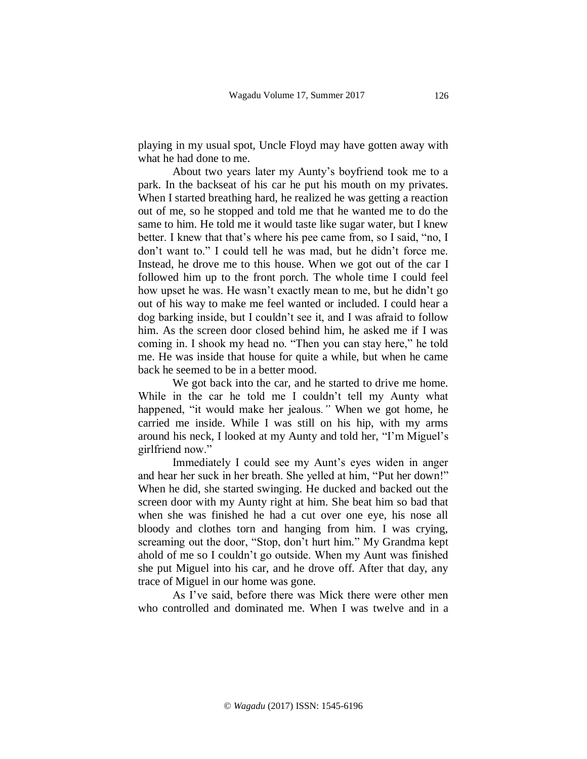playing in my usual spot, Uncle Floyd may have gotten away with what he had done to me.

About two years later my Aunty's boyfriend took me to a park. In the backseat of his car he put his mouth on my privates. When I started breathing hard, he realized he was getting a reaction out of me, so he stopped and told me that he wanted me to do the same to him. He told me it would taste like sugar water, but I knew better. I knew that that's where his pee came from, so I said, "no, I don't want to." I could tell he was mad, but he didn't force me. Instead, he drove me to this house. When we got out of the car I followed him up to the front porch. The whole time I could feel how upset he was. He wasn't exactly mean to me, but he didn't go out of his way to make me feel wanted or included. I could hear a dog barking inside, but I couldn't see it, and I was afraid to follow him. As the screen door closed behind him, he asked me if I was coming in. I shook my head no. "Then you can stay here," he told me. He was inside that house for quite a while, but when he came back he seemed to be in a better mood.

We got back into the car, and he started to drive me home. While in the car he told me I couldn't tell my Aunty what happened, "it would make her jealous*."* When we got home, he carried me inside. While I was still on his hip, with my arms around his neck, I looked at my Aunty and told her, "I'm Miguel's girlfriend now."

Immediately I could see my Aunt's eyes widen in anger and hear her suck in her breath. She yelled at him, "Put her down!" When he did, she started swinging. He ducked and backed out the screen door with my Aunty right at him. She beat him so bad that when she was finished he had a cut over one eye, his nose all bloody and clothes torn and hanging from him. I was crying, screaming out the door, "Stop, don't hurt him*.*" My Grandma kept ahold of me so I couldn't go outside. When my Aunt was finished she put Miguel into his car, and he drove off. After that day, any trace of Miguel in our home was gone.

As I've said, before there was Mick there were other men who controlled and dominated me. When I was twelve and in a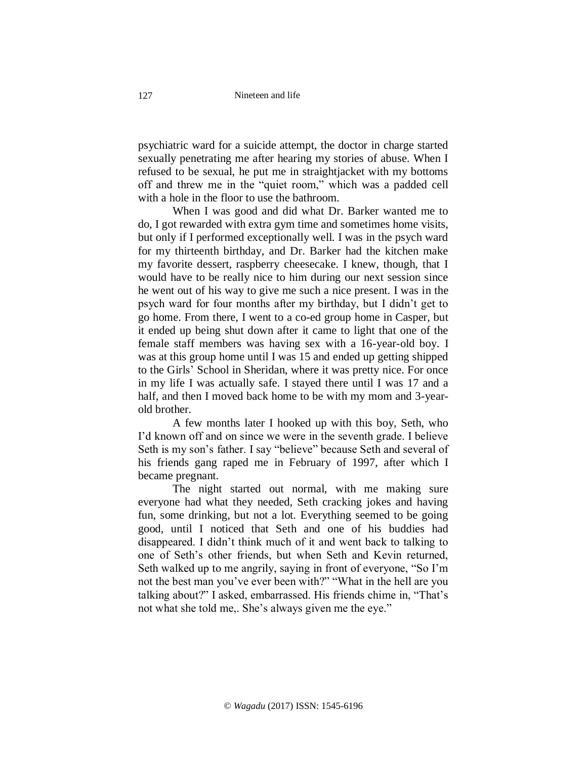psychiatric ward for a suicide attempt, the doctor in charge started sexually penetrating me after hearing my stories of abuse. When I refused to be sexual, he put me in straightjacket with my bottoms off and threw me in the "quiet room," which was a padded cell with a hole in the floor to use the bathroom.

When I was good and did what Dr. Barker wanted me to do, I got rewarded with extra gym time and sometimes home visits, but only if I performed exceptionally well. I was in the psych ward for my thirteenth birthday, and Dr. Barker had the kitchen make my favorite dessert, raspberry cheesecake. I knew, though, that I would have to be really nice to him during our next session since he went out of his way to give me such a nice present. I was in the psych ward for four months after my birthday, but I didn't get to go home. From there, I went to a co-ed group home in Casper, but it ended up being shut down after it came to light that one of the female staff members was having sex with a 16-year-old boy. I was at this group home until I was 15 and ended up getting shipped to the Girls' School in Sheridan, where it was pretty nice. For once in my life I was actually safe. I stayed there until I was 17 and a half, and then I moved back home to be with my mom and 3-yearold brother.

A few months later I hooked up with this boy, Seth, who I'd known off and on since we were in the seventh grade. I believe Seth is my son's father. I say "believe" because Seth and several of his friends gang raped me in February of 1997, after which I became pregnant.

The night started out normal, with me making sure everyone had what they needed, Seth cracking jokes and having fun, some drinking, but not a lot. Everything seemed to be going good, until I noticed that Seth and one of his buddies had disappeared. I didn't think much of it and went back to talking to one of Seth's other friends, but when Seth and Kevin returned, Seth walked up to me angrily, saying in front of everyone, "So I'm not the best man you've ever been with?" "What in the hell are you talking about?" I asked, embarrassed. His friends chime in, "That's not what she told me,. She's always given me the eye."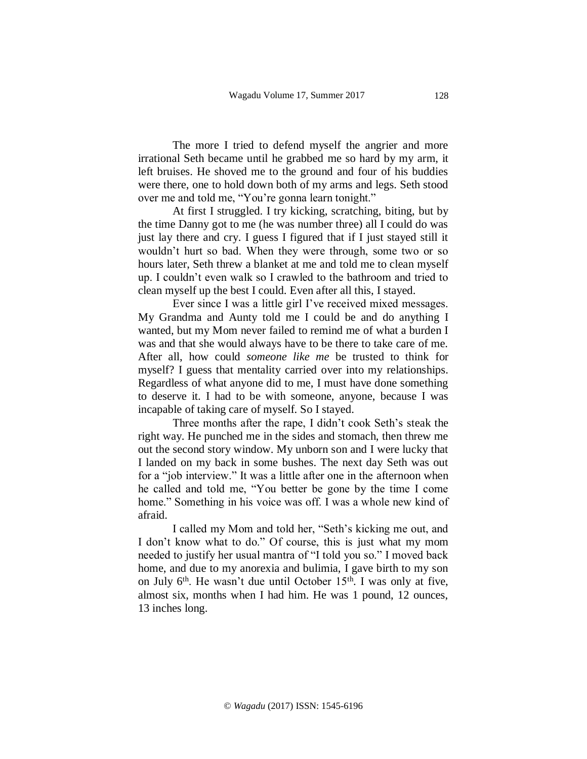The more I tried to defend myself the angrier and more irrational Seth became until he grabbed me so hard by my arm, it left bruises. He shoved me to the ground and four of his buddies were there, one to hold down both of my arms and legs. Seth stood over me and told me, "You're gonna learn tonight."

At first I struggled. I try kicking, scratching, biting, but by the time Danny got to me (he was number three) all I could do was just lay there and cry. I guess I figured that if I just stayed still it wouldn't hurt so bad. When they were through, some two or so hours later, Seth threw a blanket at me and told me to clean myself up. I couldn't even walk so I crawled to the bathroom and tried to clean myself up the best I could. Even after all this, I stayed.

Ever since I was a little girl I've received mixed messages. My Grandma and Aunty told me I could be and do anything I wanted, but my Mom never failed to remind me of what a burden I was and that she would always have to be there to take care of me. After all, how could *someone like me* be trusted to think for myself? I guess that mentality carried over into my relationships. Regardless of what anyone did to me, I must have done something to deserve it. I had to be with someone, anyone, because I was incapable of taking care of myself. So I stayed.

Three months after the rape, I didn't cook Seth's steak the right way. He punched me in the sides and stomach, then threw me out the second story window. My unborn son and I were lucky that I landed on my back in some bushes. The next day Seth was out for a "job interview." It was a little after one in the afternoon when he called and told me, "You better be gone by the time I come home." Something in his voice was off. I was a whole new kind of afraid.

I called my Mom and told her, "Seth's kicking me out, and I don't know what to do." Of course, this is just what my mom needed to justify her usual mantra of "I told you so." I moved back home, and due to my anorexia and bulimia, I gave birth to my son on July  $6<sup>th</sup>$ . He wasn't due until October 15<sup>th</sup>. I was only at five, almost six, months when I had him. He was 1 pound, 12 ounces, 13 inches long.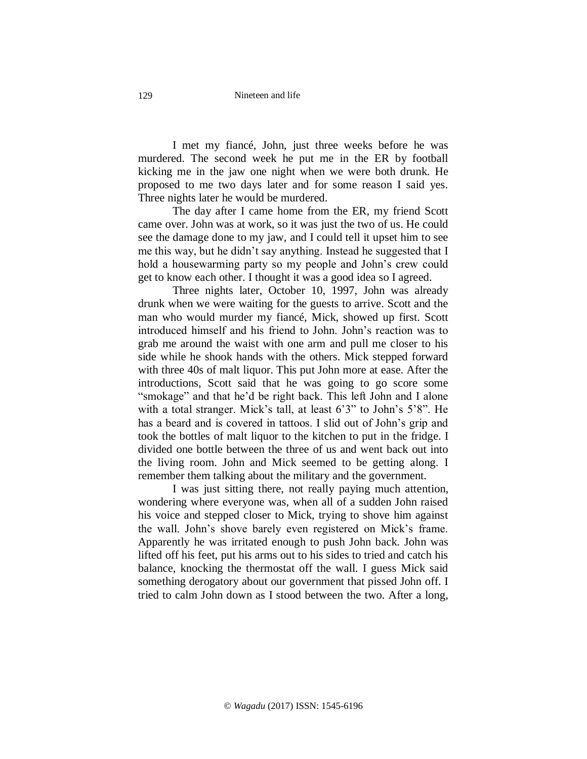I met my fiancé, John, just three weeks before he was murdered. The second week he put me in the ER by football kicking me in the jaw one night when we were both drunk. He proposed to me two days later and for some reason I said yes. Three nights later he would be murdered.

The day after I came home from the ER, my friend Scott came over. John was at work, so it was just the two of us. He could see the damage done to my jaw, and I could tell it upset him to see me this way, but he didn't say anything. Instead he suggested that I hold a housewarming party so my people and John's crew could get to know each other. I thought it was a good idea so I agreed.

Three nights later, October 10, 1997, John was already drunk when we were waiting for the guests to arrive. Scott and the man who would murder my fiancé, Mick, showed up first. Scott introduced himself and his friend to John. John's reaction was to grab me around the waist with one arm and pull me closer to his side while he shook hands with the others. Mick stepped forward with three 40s of malt liquor. This put John more at ease. After the introductions, Scott said that he was going to go score some "smokage" and that he'd be right back. This left John and I alone with a total stranger. Mick's tall, at least 6'3" to John's 5'8". He has a beard and is covered in tattoos. I slid out of John's grip and took the bottles of malt liquor to the kitchen to put in the fridge. I divided one bottle between the three of us and went back out into the living room. John and Mick seemed to be getting along. I remember them talking about the military and the government.

I was just sitting there, not really paying much attention, wondering where everyone was, when all of a sudden John raised his voice and stepped closer to Mick, trying to shove him against the wall. John's shove barely even registered on Mick's frame. Apparently he was irritated enough to push John back. John was lifted off his feet, put his arms out to his sides to tried and catch his balance, knocking the thermostat off the wall. I guess Mick said something derogatory about our government that pissed John off. I tried to calm John down as I stood between the two. After a long,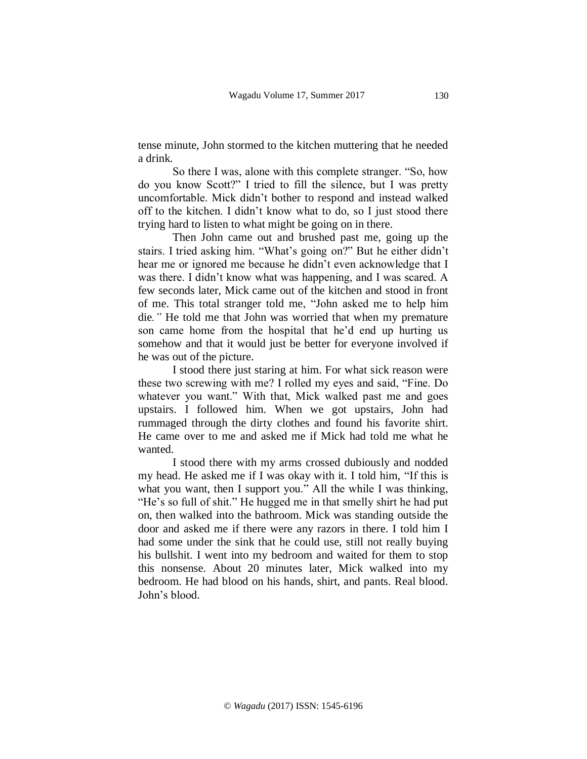tense minute, John stormed to the kitchen muttering that he needed a drink.

So there I was, alone with this complete stranger. "So, how do you know Scott?" I tried to fill the silence, but I was pretty uncomfortable. Mick didn't bother to respond and instead walked off to the kitchen. I didn't know what to do, so I just stood there trying hard to listen to what might be going on in there.

Then John came out and brushed past me, going up the stairs. I tried asking him. "What's going on?" But he either didn't hear me or ignored me because he didn't even acknowledge that I was there. I didn't know what was happening, and I was scared. A few seconds later, Mick came out of the kitchen and stood in front of me. This total stranger told me, "John asked me to help him die*."* He told me that John was worried that when my premature son came home from the hospital that he'd end up hurting us somehow and that it would just be better for everyone involved if he was out of the picture.

I stood there just staring at him. For what sick reason were these two screwing with me? I rolled my eyes and said, "Fine. Do whatever you want." With that, Mick walked past me and goes upstairs. I followed him. When we got upstairs, John had rummaged through the dirty clothes and found his favorite shirt. He came over to me and asked me if Mick had told me what he wanted.

I stood there with my arms crossed dubiously and nodded my head. He asked me if I was okay with it. I told him, "If this is what you want, then I support you." All the while I was thinking, "He's so full of shit." He hugged me in that smelly shirt he had put on, then walked into the bathroom. Mick was standing outside the door and asked me if there were any razors in there. I told him I had some under the sink that he could use, still not really buying his bullshit. I went into my bedroom and waited for them to stop this nonsense. About 20 minutes later, Mick walked into my bedroom. He had blood on his hands, shirt, and pants. Real blood. John's blood.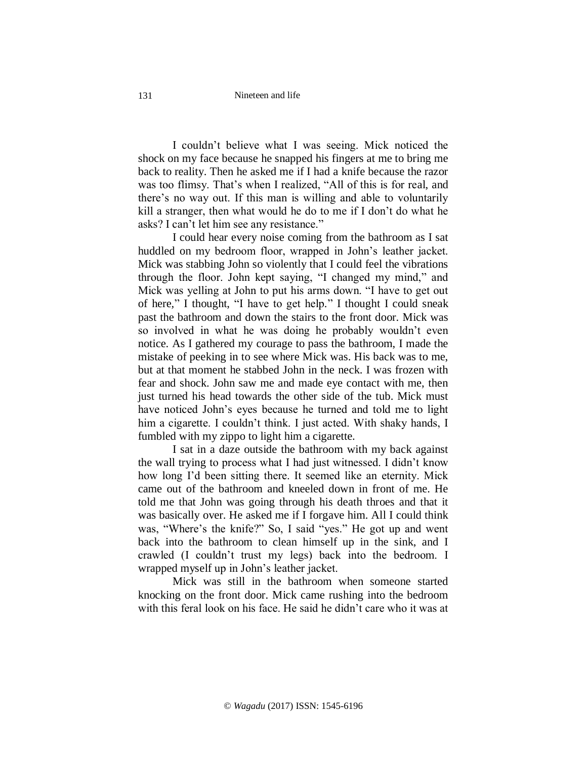I couldn't believe what I was seeing. Mick noticed the shock on my face because he snapped his fingers at me to bring me back to reality. Then he asked me if I had a knife because the razor was too flimsy. That's when I realized, "All of this is for real, and there's no way out. If this man is willing and able to voluntarily kill a stranger, then what would he do to me if I don't do what he asks? I can't let him see any resistance."

I could hear every noise coming from the bathroom as I sat huddled on my bedroom floor, wrapped in John's leather jacket. Mick was stabbing John so violently that I could feel the vibrations through the floor. John kept saying, "I changed my mind," and Mick was yelling at John to put his arms down. "I have to get out of here*,*" I thought, "I have to get help*.*" I thought I could sneak past the bathroom and down the stairs to the front door. Mick was so involved in what he was doing he probably wouldn't even notice. As I gathered my courage to pass the bathroom, I made the mistake of peeking in to see where Mick was. His back was to me, but at that moment he stabbed John in the neck. I was frozen with fear and shock. John saw me and made eye contact with me, then just turned his head towards the other side of the tub. Mick must have noticed John's eyes because he turned and told me to light him a cigarette. I couldn't think. I just acted. With shaky hands, I fumbled with my zippo to light him a cigarette.

I sat in a daze outside the bathroom with my back against the wall trying to process what I had just witnessed. I didn't know how long I'd been sitting there. It seemed like an eternity. Mick came out of the bathroom and kneeled down in front of me. He told me that John was going through his death throes and that it was basically over. He asked me if I forgave him. All I could think was, "Where's the knife?" So, I said "yes." He got up and went back into the bathroom to clean himself up in the sink, and I crawled (I couldn't trust my legs) back into the bedroom. I wrapped myself up in John's leather jacket.

Mick was still in the bathroom when someone started knocking on the front door. Mick came rushing into the bedroom with this feral look on his face. He said he didn't care who it was at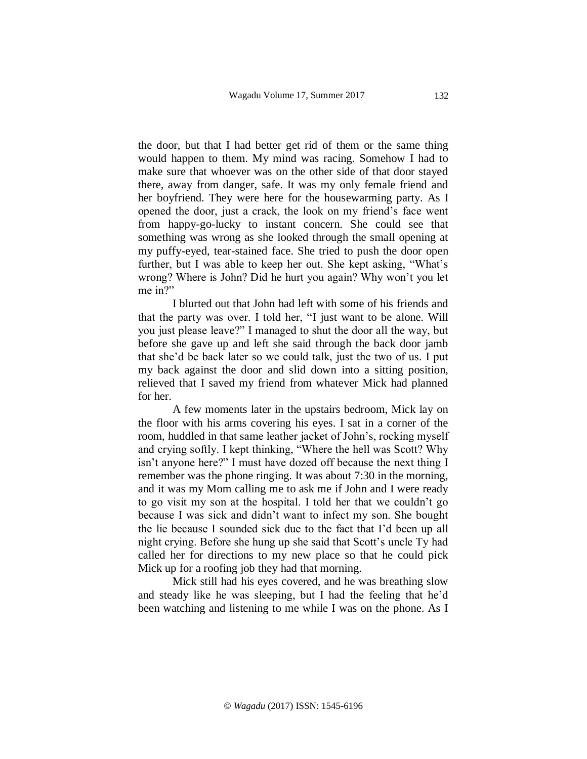the door, but that I had better get rid of them or the same thing would happen to them. My mind was racing. Somehow I had to make sure that whoever was on the other side of that door stayed there, away from danger, safe. It was my only female friend and her boyfriend. They were here for the housewarming party. As I opened the door, just a crack, the look on my friend's face went from happy-go-lucky to instant concern. She could see that something was wrong as she looked through the small opening at my puffy-eyed, tear-stained face. She tried to push the door open further, but I was able to keep her out. She kept asking, "What's wrong? Where is John? Did he hurt you again? Why won't you let me in?"

I blurted out that John had left with some of his friends and that the party was over. I told her, "I just want to be alone. Will you just please leave?" I managed to shut the door all the way, but before she gave up and left she said through the back door jamb that she'd be back later so we could talk, just the two of us. I put my back against the door and slid down into a sitting position, relieved that I saved my friend from whatever Mick had planned for her.

A few moments later in the upstairs bedroom, Mick lay on the floor with his arms covering his eyes. I sat in a corner of the room, huddled in that same leather jacket of John's, rocking myself and crying softly. I kept thinking, "Where the hell was Scott? Why isn't anyone here?" I must have dozed off because the next thing I remember was the phone ringing. It was about 7:30 in the morning, and it was my Mom calling me to ask me if John and I were ready to go visit my son at the hospital. I told her that we couldn't go because I was sick and didn't want to infect my son. She bought the lie because I sounded sick due to the fact that I'd been up all night crying. Before she hung up she said that Scott's uncle Ty had called her for directions to my new place so that he could pick Mick up for a roofing job they had that morning.

Mick still had his eyes covered, and he was breathing slow and steady like he was sleeping, but I had the feeling that he'd been watching and listening to me while I was on the phone. As I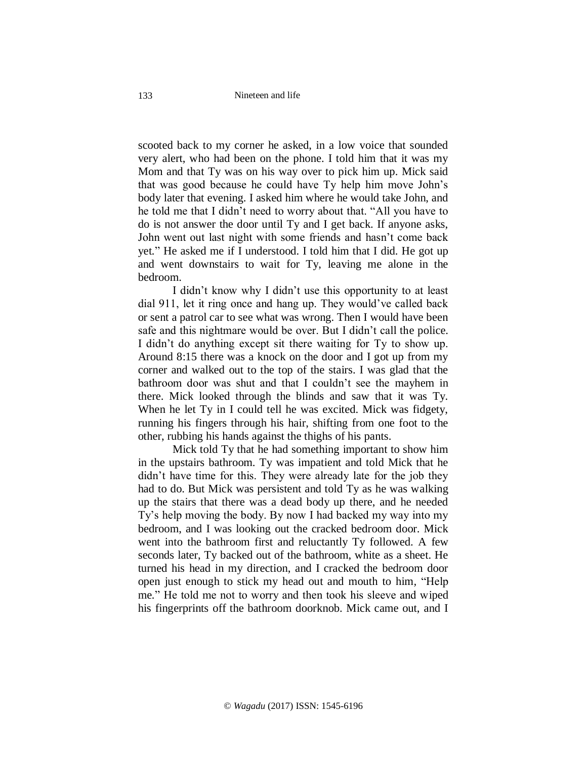scooted back to my corner he asked, in a low voice that sounded very alert, who had been on the phone. I told him that it was my Mom and that Ty was on his way over to pick him up. Mick said that was good because he could have Ty help him move John's body later that evening. I asked him where he would take John, and he told me that I didn't need to worry about that. "All you have to do is not answer the door until Ty and I get back. If anyone asks, John went out last night with some friends and hasn't come back yet*.*" He asked me if I understood. I told him that I did. He got up and went downstairs to wait for Ty, leaving me alone in the bedroom.

I didn't know why I didn't use this opportunity to at least dial 911, let it ring once and hang up. They would've called back or sent a patrol car to see what was wrong. Then I would have been safe and this nightmare would be over. But I didn't call the police. I didn't do anything except sit there waiting for Ty to show up. Around 8:15 there was a knock on the door and I got up from my corner and walked out to the top of the stairs. I was glad that the bathroom door was shut and that I couldn't see the mayhem in there. Mick looked through the blinds and saw that it was Ty. When he let Ty in I could tell he was excited. Mick was fidgety, running his fingers through his hair, shifting from one foot to the other, rubbing his hands against the thighs of his pants.

Mick told Ty that he had something important to show him in the upstairs bathroom. Ty was impatient and told Mick that he didn't have time for this. They were already late for the job they had to do. But Mick was persistent and told Ty as he was walking up the stairs that there was a dead body up there, and he needed Ty's help moving the body. By now I had backed my way into my bedroom, and I was looking out the cracked bedroom door. Mick went into the bathroom first and reluctantly Ty followed. A few seconds later, Ty backed out of the bathroom, white as a sheet. He turned his head in my direction, and I cracked the bedroom door open just enough to stick my head out and mouth to him*,* "Help me*.*" He told me not to worry and then took his sleeve and wiped his fingerprints off the bathroom doorknob. Mick came out, and I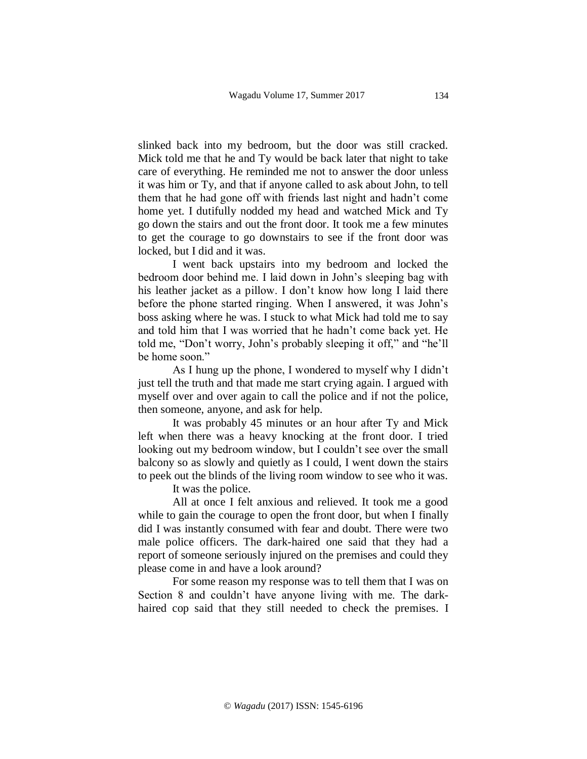slinked back into my bedroom, but the door was still cracked. Mick told me that he and Ty would be back later that night to take care of everything. He reminded me not to answer the door unless it was him or Ty, and that if anyone called to ask about John, to tell them that he had gone off with friends last night and hadn't come home yet. I dutifully nodded my head and watched Mick and Ty go down the stairs and out the front door. It took me a few minutes to get the courage to go downstairs to see if the front door was locked, but I did and it was.

I went back upstairs into my bedroom and locked the bedroom door behind me. I laid down in John's sleeping bag with his leather jacket as a pillow. I don't know how long I laid there before the phone started ringing. When I answered, it was John's boss asking where he was. I stuck to what Mick had told me to say and told him that I was worried that he hadn't come back yet. He told me, "Don't worry, John's probably sleeping it off," and "he'll be home soon."

As I hung up the phone, I wondered to myself why I didn't just tell the truth and that made me start crying again. I argued with myself over and over again to call the police and if not the police, then someone, anyone, and ask for help.

It was probably 45 minutes or an hour after Ty and Mick left when there was a heavy knocking at the front door. I tried looking out my bedroom window, but I couldn't see over the small balcony so as slowly and quietly as I could, I went down the stairs to peek out the blinds of the living room window to see who it was.

It was the police.

All at once I felt anxious and relieved. It took me a good while to gain the courage to open the front door, but when I finally did I was instantly consumed with fear and doubt. There were two male police officers. The dark-haired one said that they had a report of someone seriously injured on the premises and could they please come in and have a look around?

For some reason my response was to tell them that I was on Section 8 and couldn't have anyone living with me. The darkhaired cop said that they still needed to check the premises. I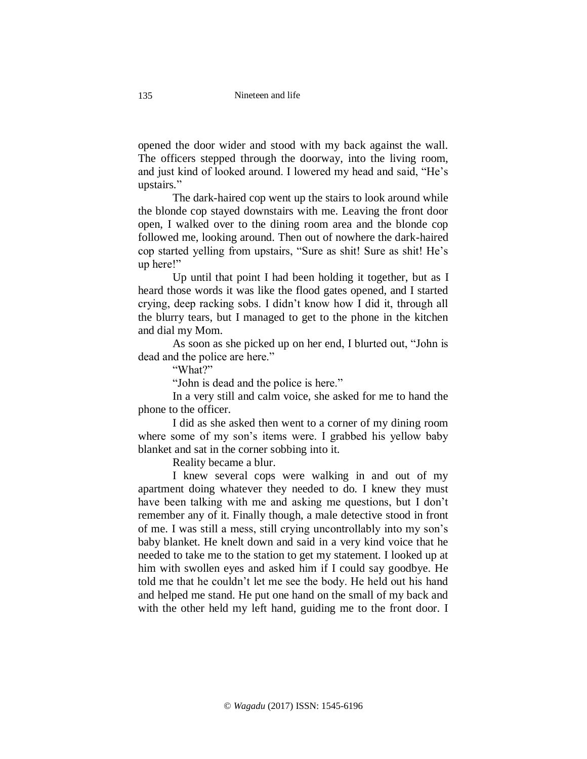opened the door wider and stood with my back against the wall. The officers stepped through the doorway, into the living room, and just kind of looked around. I lowered my head and said, "He's upstairs*.*"

The dark-haired cop went up the stairs to look around while the blonde cop stayed downstairs with me. Leaving the front door open, I walked over to the dining room area and the blonde cop followed me, looking around. Then out of nowhere the dark-haired cop started yelling from upstairs, "Sure as shit! Sure as shit! He's up here!"

Up until that point I had been holding it together, but as I heard those words it was like the flood gates opened, and I started crying, deep racking sobs. I didn't know how I did it, through all the blurry tears, but I managed to get to the phone in the kitchen and dial my Mom.

As soon as she picked up on her end, I blurted out, "John is dead and the police are here."

"What?"

"John is dead and the police is here."

In a very still and calm voice, she asked for me to hand the phone to the officer.

I did as she asked then went to a corner of my dining room where some of my son's items were. I grabbed his yellow baby blanket and sat in the corner sobbing into it.

Reality became a blur.

I knew several cops were walking in and out of my apartment doing whatever they needed to do. I knew they must have been talking with me and asking me questions, but I don't remember any of it. Finally though, a male detective stood in front of me. I was still a mess, still crying uncontrollably into my son's baby blanket. He knelt down and said in a very kind voice that he needed to take me to the station to get my statement. I looked up at him with swollen eyes and asked him if I could say goodbye. He told me that he couldn't let me see the body. He held out his hand and helped me stand. He put one hand on the small of my back and with the other held my left hand, guiding me to the front door. I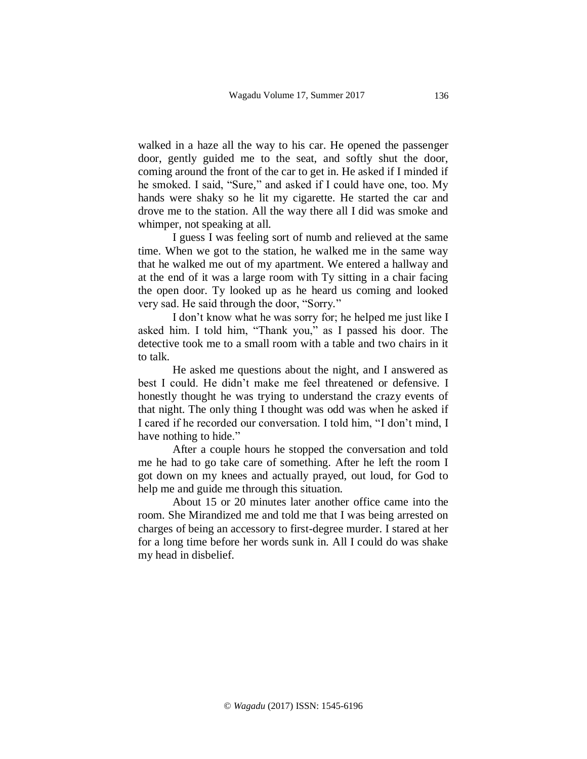walked in a haze all the way to his car. He opened the passenger door, gently guided me to the seat, and softly shut the door, coming around the front of the car to get in. He asked if I minded if he smoked. I said, "Sure*,*" and asked if I could have one, too. My hands were shaky so he lit my cigarette. He started the car and drove me to the station. All the way there all I did was smoke and whimper, not speaking at all.

I guess I was feeling sort of numb and relieved at the same time. When we got to the station, he walked me in the same way that he walked me out of my apartment. We entered a hallway and at the end of it was a large room with Ty sitting in a chair facing the open door. Ty looked up as he heard us coming and looked very sad. He said through the door, "Sorry*.*"

I don't know what he was sorry for; he helped me just like I asked him. I told him, "Thank you," as I passed his door. The detective took me to a small room with a table and two chairs in it to talk.

He asked me questions about the night, and I answered as best I could. He didn't make me feel threatened or defensive. I honestly thought he was trying to understand the crazy events of that night. The only thing I thought was odd was when he asked if I cared if he recorded our conversation. I told him, "I don't mind, I have nothing to hide."

After a couple hours he stopped the conversation and told me he had to go take care of something. After he left the room I got down on my knees and actually prayed, out loud, for God to help me and guide me through this situation.

About 15 or 20 minutes later another office came into the room. She Mirandized me and told me that I was being arrested on charges of being an accessory to first-degree murder. I stared at her for a long time before her words sunk in. All I could do was shake my head in disbelief.